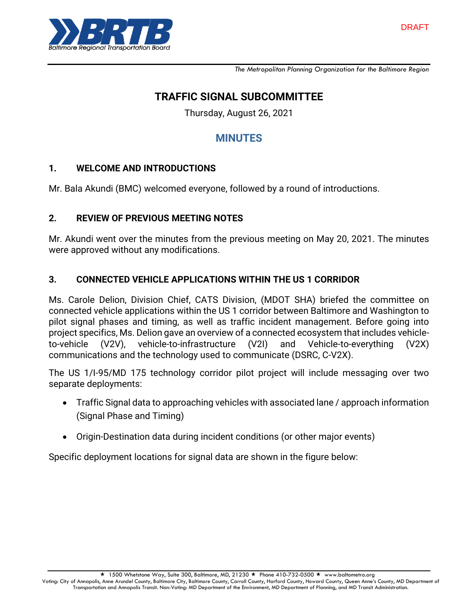

*The Metropolitan Planning Organization for the Baltimore Region*

## **TRAFFIC SIGNAL SUBCOMMITTEE**

Thursday, August 26, 2021

# **MINUTES**

#### **1. WELCOME AND INTRODUCTIONS**

Mr. Bala Akundi (BMC) welcomed everyone, followed by a round of introductions.

#### **2. REVIEW OF PREVIOUS MEETING NOTES**

Mr. Akundi went over the minutes from the previous meeting on May 20, 2021. The minutes were approved without any modifications.

#### **3. CONNECTED VEHICLE APPLICATIONS WITHIN THE US 1 CORRIDOR**

Ms. Carole Delion, Division Chief, CATS Division, (MDOT SHA) briefed the committee on connected vehicle applications within the US 1 corridor between Baltimore and Washington to pilot signal phases and timing, as well as traffic incident management. Before going into project specifics, Ms. Delion gave an overview of a connected ecosystem that includes vehicleto-vehicle (V2V), vehicle-to-infrastructure (V2I) and Vehicle-to-everything (V2X) communications and the technology used to communicate (DSRC, C-V2X).

The US 1/I-95/MD 175 technology corridor pilot project will include messaging over two separate deployments:

- Traffic Signal data to approaching vehicles with associated lane / approach information (Signal Phase and Timing)
- Origin-Destination data during incident conditions (or other major events)

Specific deployment locations for signal data are shown in the figure below: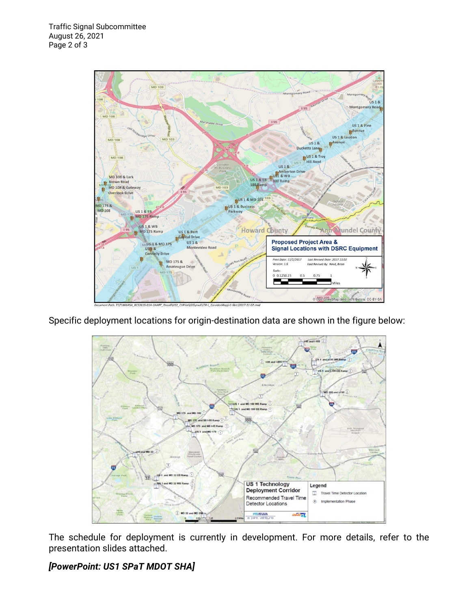

Specific deployment locations for origin-destination data are shown in the figure below:



The schedule for deployment is currently in development. For more details, refer to the presentation slides attached.

*[PowerPoint: US1 SPaT MDOT SHA]*